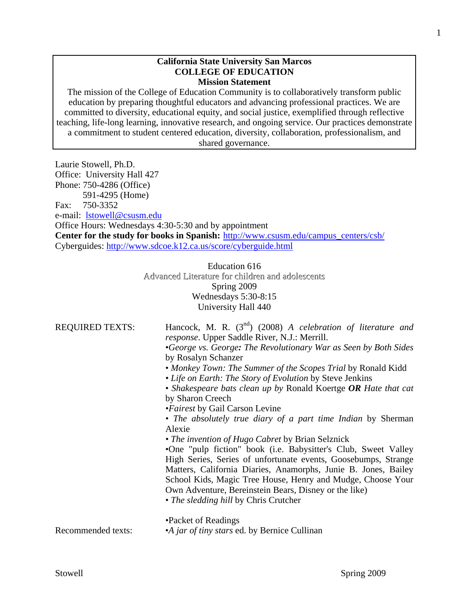### **California State University San Marcos COLLEGE OF EDUCATION Mission Statement**

The mission of the College of Education Community is to collaboratively transform public education by preparing thoughtful educators and advancing professional practices. We are committed to diversity, educational equity, and social justice, exemplified through reflective teaching, life-long learning, innovative research, and ongoing service. Our practices demonstrate a commitment to student centered education, diversity, collaboration, professionalism, and shared governance.

Laurie Stowell, Ph.D. Office: University Hall 427 Phone: 750-4286 (Office) 591-4295 (Home) Fax: 750-3352 e-mail: lstowell@csusm.edu Office Hours: Wednesdays 4:30-5:30 and by appointment **Center for the study for books in Spanish:** http://www.csusm.edu/campus\_centers/csb/ Cyberguides: http://www.sdcoe.k12.ca.us/score/cyberguide.html

> Education 616 Advanced Literature for children and adolescents Spring 2009 Wednesdays 5:30-8:15 University Hall 440

| <b>REQUIRED TEXTS:</b> | Hancock, M. R. $(3nd)$ (2008) A celebration of literature and<br><i>response</i> . Upper Saddle River, N.J.: Merrill.<br>•George vs. George: The Revolutionary War as Seen by Both Sides<br>by Rosalyn Schanzer<br>• Monkey Town: The Summer of the Scopes Trial by Ronald Kidd<br>• Life on Earth: The Story of Evolution by Steve Jenkins<br>• Shakespeare bats clean up by Ronald Koertge $OR$ Hate that cat<br>by Sharon Creech<br><i>•Fairest</i> by Gail Carson Levine<br>• The absolutely true diary of a part time Indian by Sherman<br>Alexie<br>• The invention of Hugo Cabret by Brian Selznick<br>•One "pulp fiction" book (i.e. Babysitter's Club, Sweet Valley<br>High Series, Series of unfortunate events, Goosebumps, Strange<br>Matters, California Diaries, Anamorphs, Junie B. Jones, Bailey<br>School Kids, Magic Tree House, Henry and Mudge, Choose Your<br>Own Adventure, Bereinstein Bears, Disney or the like)<br>• The sledding hill by Chris Crutcher |
|------------------------|-----------------------------------------------------------------------------------------------------------------------------------------------------------------------------------------------------------------------------------------------------------------------------------------------------------------------------------------------------------------------------------------------------------------------------------------------------------------------------------------------------------------------------------------------------------------------------------------------------------------------------------------------------------------------------------------------------------------------------------------------------------------------------------------------------------------------------------------------------------------------------------------------------------------------------------------------------------------------------------|
| Recommended texts:     | •Packet of Readings<br>•A jar of tiny stars ed. by Bernice Cullinan                                                                                                                                                                                                                                                                                                                                                                                                                                                                                                                                                                                                                                                                                                                                                                                                                                                                                                               |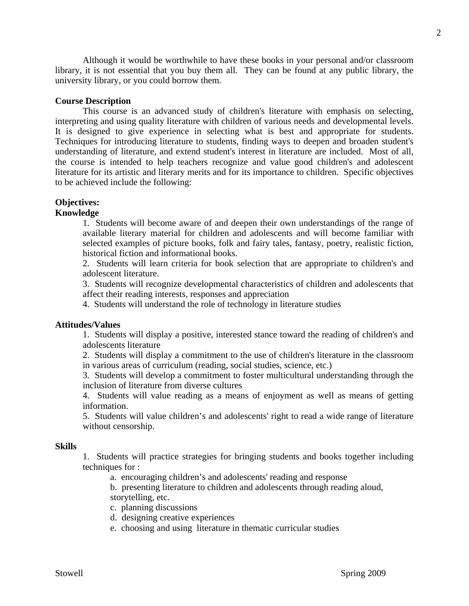Although it would be worthwhile to have these books in your personal and/or classroom library, it is not essential that you buy them all. They can be found at any public library, the university library, or you could borrow them.

### **Course Description**

It is designed to give experience in selecting what is best and appropriate for students. This course is an advanced study of children's literature with emphasis on selecting, interpreting and using quality literature with children of various needs and developmental levels. Techniques for introducing literature to students, finding ways to deepen and broaden student's understanding of literature, and extend student's interest in literature are included. Most of all, the course is intended to help teachers recognize and value good children's and adolescent literature for its artistic and literary merits and for its importance to children. Specific objectives to be achieved include the following:

## **Objectives:**

### **Knowledge**

1. Students will become aware of and deepen their own understandings of the range of available literary material for children and adolescents and will become familiar with selected examples of picture books, folk and fairy tales, fantasy, poetry, realistic fiction, historical fiction and informational books.

2. Students will learn criteria for book selection that are appropriate to children's and adolescent literature.

3. Students will recognize developmental characteristics of children and adolescents that affect their reading interests, responses and appreciation

4. Students will understand the role of technology in literature studies

### **Attitudes/Values**

1. Students will display a positive, interested stance toward the reading of children's and adolescents literature

2. Students will display a commitment to the use of children's literature in the classroom in various areas of curriculum (reading, social studies, science, etc.)

3. Students will develop a commitment to foster multicultural understanding through the inclusion of literature from diverse cultures

4. Students will value reading as a means of enjoyment as well as means of getting information.

5. Students will value children's and adolescents' right to read a wide range of literature without censorship.

### **Skills**

1. Students will practice strategies for bringing students and books together including techniques for :

a. encouraging children's and adolescents' reading and response

b. presenting literature to children and adolescents through reading aloud, storytelling, etc.

c. planning discussions

- d. designing creative experiences
- e. choosing and using literature in thematic curricular studies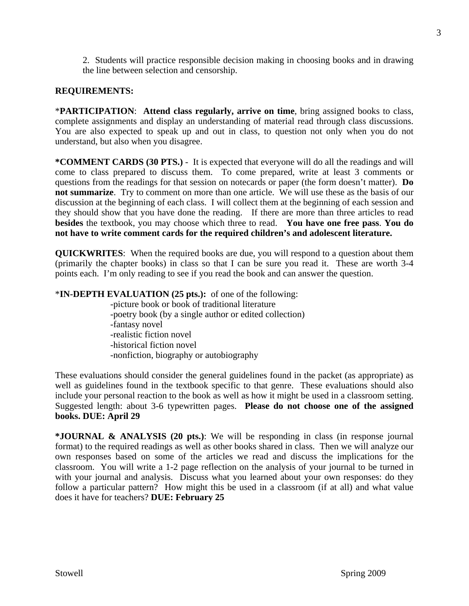2. Students will practice responsible decision making in choosing books and in drawing the line between selection and censorship.

## **REQUIREMENTS:**

\***PARTICIPATION**: **Attend class regularly, arrive on time**, bring assigned books to class, complete assignments and display an understanding of material read through class discussions. You are also expected to speak up and out in class, to question not only when you do not understand, but also when you disagree.

**\*COMMENT CARDS (30 PTS.)** - It is expected that everyone will do all the readings and will come to class prepared to discuss them. To come prepared, write at least 3 comments or questions from the readings for that session on notecards or paper (the form doesn't matter). **Do not summarize**. Try to comment on more than one article. We will use these as the basis of our discussion at the beginning of each class. I will collect them at the beginning of each session and they should show that you have done the reading. If there are more than three articles to read **besides** the textbook, you may choose which three to read. **You have one free pass**. **You do not have to write comment cards for the required children's and adolescent literature.** 

**QUICKWRITES**: When the required books are due, you will respond to a question about them (primarily the chapter books) in class so that I can be sure you read it. These are worth 3-4 points each. I'm only reading to see if you read the book and can answer the question.

## \***IN-DEPTH EVALUATION (25 pts.):** of one of the following:

-picture book or book of traditional literature -poetry book (by a single author or edited collection) -fantasy novel -realistic fiction novel -historical fiction novel

-nonfiction, biography or autobiography

include your personal reaction to the book as well as how it might be used in a classroom setting. These evaluations should consider the general guidelines found in the packet (as appropriate) as well as guidelines found in the textbook specific to that genre. These evaluations should also Suggested length: about 3-6 typewritten pages. Please do not choose one of the assigned **books. DUE: April 29** 

**\*JOURNAL & ANALYSIS (20 pts.)**: We will be responding in class (in response journal format) to the required readings as well as other books shared in class. Then we will analyze our own responses based on some of the articles we read and discuss the implications for the classroom. You will write a 1-2 page reflection on the analysis of your journal to be turned in with your journal and analysis. Discuss what you learned about your own responses: do they follow a particular pattern? How might this be used in a classroom (if at all) and what value does it have for teachers? **DUE: February 25**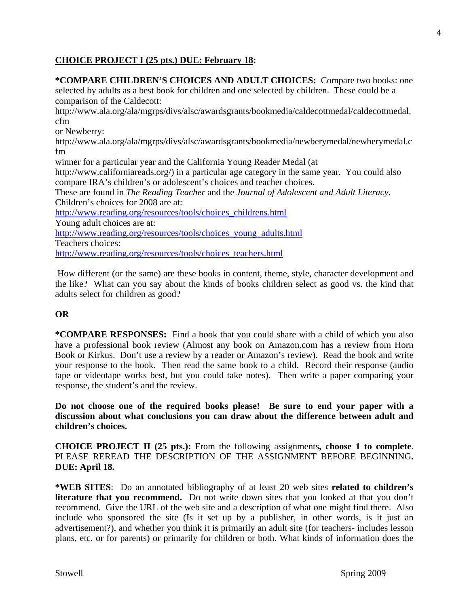## **CHOICE PROJECT I (25 pts.) DUE: February 18:**

fm **\*COMPARE CHILDREN'S CHOICES AND ADULT CHOICES:** Compare two books: one selected by adults as a best book for children and one selected by children. These could be a comparison of the Caldecott: http://www.ala.org/ala/mgrps/divs/alsc/awardsgrants/bookmedia/caldecottmedal/caldecottmedal. cfm or Newberry: http://www.ala.org/ala/mgrps/divs/alsc/awardsgrants/bookmedia/newberymedal/newberymedal.c winner for a particular year and the California Young Reader Medal (at http://www.californiareads.org/) in a particular age category in the same year. You could also compare IRA's children's or adolescent's choices and teacher choices. These are found in *The Reading Teacher* and the *Journal of Adolescent and Adult Literacy*. Children's choices for 2008 are at: http://www.reading.org/resources/tools/choices\_childrens.html Young adult choices are at: http://www.reading.org/resources/tools/choices\_young\_adults.html Teachers choices: http://www.reading.org/resources/tools/choices\_teachers.html

How different (or the same) are these books in content, theme, style, character development and the like? What can you say about the kinds of books children select as good vs. the kind that adults select for children as good?

## **OR**

 Book or Kirkus. Don't use a review by a reader or Amazon's review). Read the book and write **\*COMPARE RESPONSES:** Find a book that you could share with a child of which you also have a professional book review (Almost any book on Amazon.com has a review from Horn your response to the book. Then read the same book to a child. Record their response (audio tape or videotape works best, but you could take notes). Then write a paper comparing your response, the student's and the review.

**Do not choose one of the required books please! Be sure to end your paper with a discussion about what conclusions you can draw about the difference between adult and children's choices.** 

**CHOICE PROJECT II (25 pts.):** From the following assignments**, choose 1 to complete**. PLEASE REREAD THE DESCRIPTION OF THE ASSIGNMENT BEFORE BEGINNING**. DUE: April 18.** 

**\*WEB SITES**: Do an annotated bibliography of at least 20 web sites **related to children's literature that you recommend.** Do not write down sites that you looked at that you don't recommend. Give the URL of the web site and a description of what one might find there. Also include who sponsored the site (Is it set up by a publisher, in other words, is it just an advertisement?), and whether you think it is primarily an adult site (for teachers- includes lesson plans, etc. or for parents) or primarily for children or both. What kinds of information does the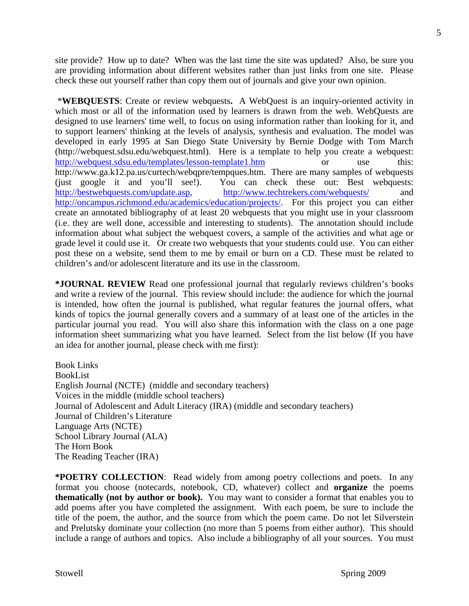site provide? How up to date? When was the last time the site was updated? Also, be sure you are providing information about different websites rather than just links from one site. Please check these out yourself rather than copy them out of journals and give your own opinion.

 developed in early 1995 at San Diego State University by Bernie Dodge with Tom March (http://webquest.sdsu.edu/webquest.html). Here is a template to help you create a webquest: \***WEBQUESTS**: Create or review webquests**.** A WebQuest is an inquiry-oriented activity in which most or all of the information used by learners is drawn from the web. WebQuests are designed to use learners' time well, to focus on using information rather than looking for it, and to support learners' thinking at the levels of analysis, synthesis and evaluation. The model was http://webquest.sdsu.edu/templates/lesson-template1.htm or use this: http://www.ga.k12.pa.us/curtech/webqpre/tempques.htm. There are many samples of webquests (just google it and you'll see!). You can check these out: Best webquests: http://bestwebquests.com/update.asp, http://www.techtrekers.com/webquests/ and http://oncampus.richmond.edu/academics/education/projects/. For this project you can either create an annotated bibliography of at least 20 webquests that you might use in your classroom (i.e. they are well done, accessible and interesting to students). The annotation should include information about what subject the webquest covers, a sample of the activities and what age or grade level it could use it. Or create two webquests that your students could use. You can either post these on a website, send them to me by email or burn on a CD. These must be related to children's and/or adolescent literature and its use in the classroom.

**\*JOURNAL REVIEW** Read one professional journal that regularly reviews children's books and write a review of the journal. This review should include: the audience for which the journal is intended, how often the journal is published, what regular features the journal offers, what kinds of topics the journal generally covers and a summary of at least one of the articles in the particular journal you read. You will also share this information with the class on a one page information sheet summarizing what you have learned. Select from the list below (If you have an idea for another journal, please check with me first):

Book Links BookList English Journal (NCTE) (middle and secondary teachers) Voices in the middle (middle school teachers) Journal of Adolescent and Adult Literacy (IRA) (middle and secondary teachers) Journal of Children's Literature Language Arts (NCTE) School Library Journal (ALA) The Horn Book The Reading Teacher (IRA)

**\*POETRY COLLECTION**: Read widely from among poetry collections and poets. In any format you choose (notecards, notebook, CD, whatever) collect and **organize** the poems **thematically (not by author or book).** You may want to consider a format that enables you to add poems after you have completed the assignment. With each poem, be sure to include the title of the poem, the author, and the source from which the poem came. Do not let Silverstein and Prelutsky dominate your collection (no more than 5 poems from either author). This should include a range of authors and topics. Also include a bibliography of all your sources. You must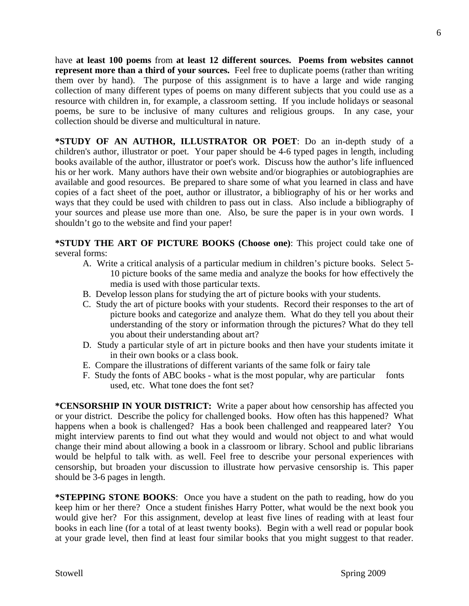have **at least 100 poems** from **at least 12 different sources. Poems from websites cannot represent more than a third of your sources.** Feel free to duplicate poems (rather than writing them over by hand). The purpose of this assignment is to have a large and wide ranging collection of many different types of poems on many different subjects that you could use as a resource with children in, for example, a classroom setting. If you include holidays or seasonal poems, be sure to be inclusive of many cultures and religious groups. In any case, your collection should be diverse and multicultural in nature.

**\*STUDY OF AN AUTHOR, ILLUSTRATOR OR POET**: Do an in-depth study of a children's author, illustrator or poet. Your paper should be 4-6 typed pages in length, including books available of the author, illustrator or poet's work. Discuss how the author's life influenced his or her work. Many authors have their own website and/or biographies or autobiographies are available and good resources. Be prepared to share some of what you learned in class and have copies of a fact sheet of the poet, author or illustrator, a bibliography of his or her works and ways that they could be used with children to pass out in class. Also include a bibliography of your sources and please use more than one. Also, be sure the paper is in your own words. I shouldn't go to the website and find your paper!

**\*STUDY THE ART OF PICTURE BOOKS (Choose one)**: This project could take one of several forms:

- A. Write a critical analysis of a particular medium in children's picture books. Select 5- 10 picture books of the same media and analyze the books for how effectively the media is used with those particular texts.
- B. Develop lesson plans for studying the art of picture books with your students.
- you about their understanding about art? C. Study the art of picture books with your students. Record their responses to the art of picture books and categorize and analyze them. What do they tell you about their understanding of the story or information through the pictures? What do they tell
- D. Study a particular style of art in picture books and then have your students imitate it in their own books or a class book.
- E. Compare the illustrations of different variants of the same folk or fairy tale
- F. Study the fonts of ABC books what is the most popular, why are particular fonts used, etc. What tone does the font set?

**\*CENSORSHIP IN YOUR DISTRICT:** Write a paper about how censorship has affected you or your district. Describe the policy for challenged books. How often has this happened? What happens when a book is challenged? Has a book been challenged and reappeared later? You might interview parents to find out what they would and would not object to and what would change their mind about allowing a book in a classroom or library. School and public librarians would be helpful to talk with. as well. Feel free to describe your personal experiences with censorship, but broaden your discussion to illustrate how pervasive censorship is. This paper should be 3-6 pages in length.

**\*STEPPING STONE BOOKS**: Once you have a student on the path to reading, how do you keep him or her there? Once a student finishes Harry Potter, what would be the next book you would give her? For this assignment, develop at least five lines of reading with at least four books in each line (for a total of at least twenty books). Begin with a well read or popular book at your grade level, then find at least four similar books that you might suggest to that reader.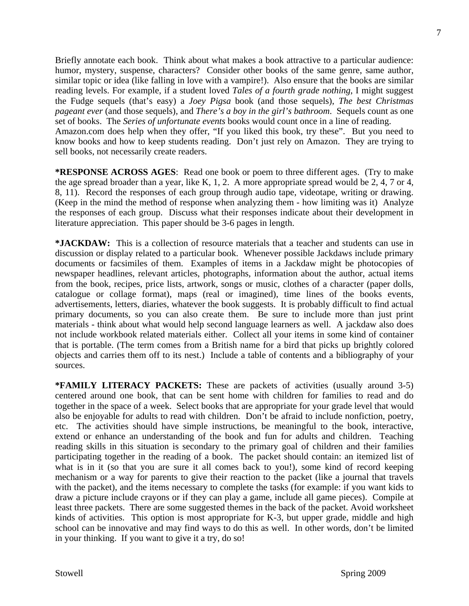Briefly annotate each book. Think about what makes a book attractive to a particular audience: humor, mystery, suspense, characters? Consider other books of the same genre, same author, similar topic or idea (like falling in love with a vampire!). Also ensure that the books are similar reading levels. For example, if a student loved *Tales of a fourth grade nothing*, I might suggest the Fudge sequels (that's easy) a *Joey Pigsa* book (and those sequels), *The best Christmas pageant ever* (and those sequels), and *There's a boy in the girl's bathroom*. Sequels count as one set of books. The *Series of unfortunate events* books would count once in a line of reading.

Amazon.com does help when they offer, "If you liked this book, try these". But you need to know books and how to keep students reading. Don't just rely on Amazon. They are trying to sell books, not necessarily create readers.

**\*RESPONSE ACROSS AGES**: Read one book or poem to three different ages. (Try to make the age spread broader than a year, like K, 1, 2. A more appropriate spread would be 2, 4, 7 or 4, 8, 11). Record the responses of each group through audio tape, videotape, writing or drawing. (Keep in the mind the method of response when analyzing them - how limiting was it) Analyze the responses of each group. Discuss what their responses indicate about their development in literature appreciation. This paper should be 3-6 pages in length.

**\*JACKDAW:** This is a collection of resource materials that a teacher and students can use in discussion or display related to a particular book. Whenever possible Jackdaws include primary documents or facsimiles of them. Examples of items in a Jackdaw might be photocopies of newspaper headlines, relevant articles, photographs, information about the author, actual items from the book, recipes, price lists, artwork, songs or music, clothes of a character (paper dolls, catalogue or collage format), maps (real or imagined), time lines of the books events, advertisements, letters, diaries, whatever the book suggests. It is probably difficult to find actual primary documents, so you can also create them. Be sure to include more than just print materials - think about what would help second language learners as well. A jackdaw also does not include workbook related materials either. Collect all your items in some kind of container that is portable. (The term comes from a British name for a bird that picks up brightly colored objects and carries them off to its nest.) Include a table of contents and a bibliography of your sources.

**\*FAMILY LITERACY PACKETS:** These are packets of activities (usually around 3-5) centered around one book, that can be sent home with children for families to read and do together in the space of a week. Select books that are appropriate for your grade level that would also be enjoyable for adults to read with children. Don't be afraid to include nonfiction, poetry, etc. The activities should have simple instructions, be meaningful to the book, interactive, extend or enhance an understanding of the book and fun for adults and children. Teaching reading skills in this situation is secondary to the primary goal of children and their families participating together in the reading of a book. The packet should contain: an itemized list of what is in it (so that you are sure it all comes back to you!), some kind of record keeping mechanism or a way for parents to give their reaction to the packet (like a journal that travels with the packet), and the items necessary to complete the tasks (for example: if you want kids to draw a picture include crayons or if they can play a game, include all game pieces). Compile at least three packets. There are some suggested themes in the back of the packet. Avoid worksheet kinds of activities. This option is most appropriate for K-3, but upper grade, middle and high school can be innovative and may find ways to do this as well. In other words, don't be limited in your thinking. If you want to give it a try, do so!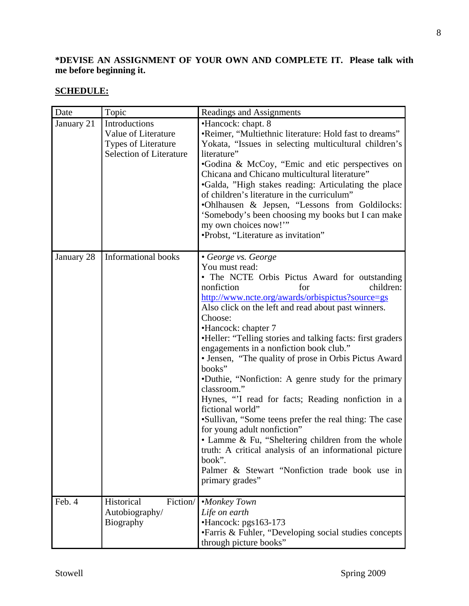## **\*DEVISE AN ASSIGNMENT OF YOUR OWN AND COMPLETE IT. Please talk with me before beginning it.**

# **SCHEDULE:**

| Date       | Topic                                                                                                | Readings and Assignments                                                                                                                                                                                                                                                                                                                                                                                                                                                                                                                                                                                                                                                                                                                                                                                                                                                                |  |  |
|------------|------------------------------------------------------------------------------------------------------|-----------------------------------------------------------------------------------------------------------------------------------------------------------------------------------------------------------------------------------------------------------------------------------------------------------------------------------------------------------------------------------------------------------------------------------------------------------------------------------------------------------------------------------------------------------------------------------------------------------------------------------------------------------------------------------------------------------------------------------------------------------------------------------------------------------------------------------------------------------------------------------------|--|--|
| January 21 | Introductions<br>Value of Literature<br><b>Types of Literature</b><br><b>Selection of Literature</b> | •Hancock: chapt. 8<br>•Reimer, "Multiethnic literature: Hold fast to dreams"<br>Yokata, "Issues in selecting multicultural children's<br>literature"<br>•Godina & McCoy, "Emic and etic perspectives on<br>Chicana and Chicano multicultural literature"<br>•Galda, "High stakes reading: Articulating the place<br>of children's literature in the curriculum"<br>.Ohlhausen & Jepsen, "Lessons from Goldilocks:<br>'Somebody's been choosing my books but I can make<br>my own choices now!"<br>•Probst, "Literature as invitation"                                                                                                                                                                                                                                                                                                                                                   |  |  |
| January 28 | <b>Informational books</b>                                                                           | • George vs. George<br>You must read:<br>• The NCTE Orbis Pictus Award for outstanding<br>children:<br>nonfiction<br>for<br>http://www.ncte.org/awards/orbispictus?source=gs<br>Also click on the left and read about past winners.<br>Choose:<br>•Hancock: chapter 7<br>•Heller: "Telling stories and talking facts: first graders<br>engagements in a nonfiction book club."<br>• Jensen, "The quality of prose in Orbis Pictus Award<br>books"<br>•Duthie, "Nonfiction: A genre study for the primary<br>classroom."<br>Hynes, "I read for facts; Reading nonfiction in a<br>fictional world"<br>•Sullivan, "Some teens prefer the real thing: The case<br>for young adult nonfiction"<br>• Lamme & Fu, "Sheltering children from the whole<br>truth: A critical analysis of an informational picture<br>book".<br>Palmer & Stewart "Nonfiction trade book use in<br>primary grades" |  |  |
| Feb. 4     | Historical<br>Fiction/<br>Autobiography/<br><b>Biography</b>                                         | •Monkey Town<br>Life on earth<br>•Hancock: pgs163-173<br>• Farris & Fuhler, "Developing social studies concepts<br>through picture books"                                                                                                                                                                                                                                                                                                                                                                                                                                                                                                                                                                                                                                                                                                                                               |  |  |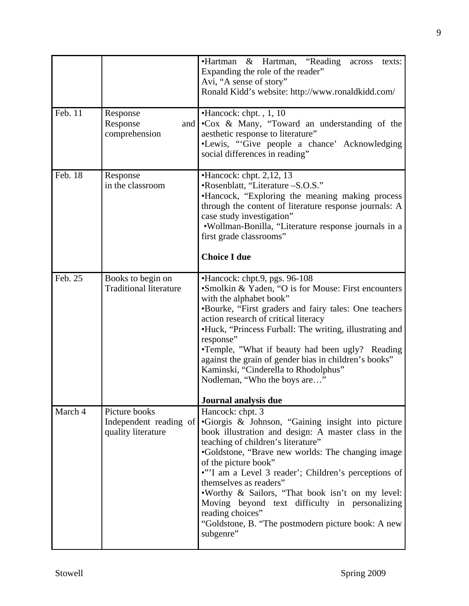| Feb. 11 | Response<br>Response<br>and  <br>comprehension                | •Hartman & Hartman, "Reading<br>texts:<br>across<br>Expanding the role of the reader"<br>Avi, "A sense of story"<br>Ronald Kidd's website: http://www.ronaldkidd.com/<br>$\bullet$ Hancock: chpt., 1, 10<br>•Cox & Many, "Toward an understanding of the<br>aesthetic response to literature"                                                                                                                                                                                                                                   |
|---------|---------------------------------------------------------------|---------------------------------------------------------------------------------------------------------------------------------------------------------------------------------------------------------------------------------------------------------------------------------------------------------------------------------------------------------------------------------------------------------------------------------------------------------------------------------------------------------------------------------|
|         |                                                               | •Lewis, "Give people a chance' Acknowledging<br>social differences in reading"                                                                                                                                                                                                                                                                                                                                                                                                                                                  |
| Feb. 18 | Response<br>in the classroom                                  | $\bullet$ Hancock: chpt. 2,12, 13<br>•Rosenblatt, "Literature -S.O.S."<br>•Hancock, "Exploring the meaning making process<br>through the content of literature response journals: A<br>case study investigation"<br>•Wollman-Bonilla, "Literature response journals in a<br>first grade classrooms"<br><b>Choice I due</b>                                                                                                                                                                                                      |
| Feb. 25 | Books to begin on<br><b>Traditional literature</b>            | •Hancock: chpt.9, pgs. 96-108<br>•Smolkin & Yaden, "O is for Mouse: First encounters                                                                                                                                                                                                                                                                                                                                                                                                                                            |
|         |                                                               | with the alphabet book"<br>•Bourke, "First graders and fairy tales: One teachers<br>action research of critical literacy<br>•Huck, "Princess Furball: The writing, illustrating and<br>response"<br>•Temple, "What if beauty had been ugly? Reading<br>against the grain of gender bias in children's books"<br>Kaminski, "Cinderella to Rhodolphus"<br>Nodleman, "Who the boys are"                                                                                                                                            |
|         |                                                               | Journal analysis due                                                                                                                                                                                                                                                                                                                                                                                                                                                                                                            |
| March 4 | Picture books<br>Independent reading of<br>quality literature | Hancock: chpt. 3<br>•Giorgis & Johnson, "Gaining insight into picture<br>book illustration and design: A master class in the<br>teaching of children's literature"<br>•Goldstone, "Brave new worlds: The changing image<br>of the picture book"<br>•"'I am a Level 3 reader'; Children's perceptions of<br>themselves as readers"<br>. Worthy & Sailors, "That book isn't on my level:<br>Moving beyond text difficulty in personalizing<br>reading choices"<br>"Goldstone, B. "The postmodern picture book: A new<br>subgenre" |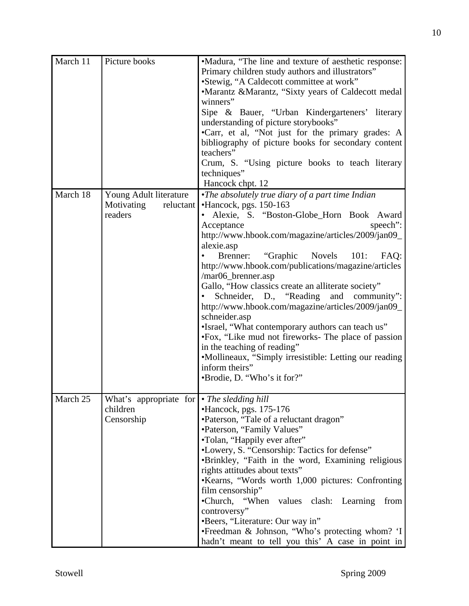| March 11 | Picture books                              | •Madura, "The line and texture of aesthetic response:                 |  |  |
|----------|--------------------------------------------|-----------------------------------------------------------------------|--|--|
|          |                                            | Primary children study authors and illustrators"                      |  |  |
|          |                                            | •Stewig, "A Caldecott committee at work"                              |  |  |
|          |                                            | •Marantz &Marantz, "Sixty years of Caldecott medal                    |  |  |
|          |                                            | winners"                                                              |  |  |
|          |                                            | Sipe & Bauer, "Urban Kindergarteners' literary                        |  |  |
|          |                                            | understanding of picture storybooks"                                  |  |  |
|          |                                            | •Carr, et al, "Not just for the primary grades: A                     |  |  |
|          |                                            | bibliography of picture books for secondary content                   |  |  |
|          |                                            | teachers"                                                             |  |  |
|          |                                            | Crum, S. "Using picture books to teach literary                       |  |  |
|          |                                            | techniques"                                                           |  |  |
|          |                                            | Hancock chpt. 12                                                      |  |  |
| March 18 | Young Adult literature                     | •The absolutely true diary of a part time Indian                      |  |  |
|          | Motivating<br>reluctant                    | •Hancock, pgs. 150-163                                                |  |  |
|          | readers                                    | · Alexie, S. "Boston-Globe_Horn Book Award                            |  |  |
|          |                                            | Acceptance<br>speech":                                                |  |  |
|          |                                            | http://www.hbook.com/magazine/articles/2009/jan09_<br>alexie.asp      |  |  |
|          |                                            | "Graphic<br>Novels 101: FAQ:<br>Brenner:                              |  |  |
|          |                                            | http://www.hbook.com/publications/magazine/articles                   |  |  |
|          |                                            | /mar06_brenner.asp                                                    |  |  |
|          |                                            | Gallo, "How classics create an alliterate society"                    |  |  |
|          |                                            | Schneider, D., "Reading and community":                               |  |  |
|          |                                            | http://www.hbook.com/magazine/articles/2009/jan09_                    |  |  |
|          |                                            | schneider.asp                                                         |  |  |
|          |                                            | •Israel, "What contemporary authors can teach us"                     |  |  |
|          |                                            | •Fox, "Like mud not fireworks- The place of passion                   |  |  |
|          |                                            | in the teaching of reading"                                           |  |  |
|          |                                            | •Mollineaux, "Simply irresistible: Letting our reading                |  |  |
|          |                                            | inform theirs"                                                        |  |  |
|          |                                            | •Brodie, D. "Who's it for?"                                           |  |  |
|          |                                            |                                                                       |  |  |
| March 25 | What's appropriate for • The sledding hill |                                                                       |  |  |
|          | children                                   | $\bullet$ Hancock, pgs. 175-176                                       |  |  |
|          | Censorship                                 | •Paterson, "Tale of a reluctant dragon"                               |  |  |
|          |                                            | •Paterson, "Family Values"                                            |  |  |
|          |                                            | •Tolan, "Happily ever after"                                          |  |  |
|          |                                            | •Lowery, S. "Censorship: Tactics for defense"                         |  |  |
|          |                                            | •Brinkley, "Faith in the word, Examining religious                    |  |  |
|          |                                            | rights attitudes about texts"                                         |  |  |
|          |                                            | •Kearns, "Words worth 1,000 pictures: Confronting<br>film censorship" |  |  |
|          |                                            | •Church, "When values clash: Learning<br>from                         |  |  |
|          |                                            | controversy"                                                          |  |  |
|          |                                            | •Beers, "Literature: Our way in"                                      |  |  |
|          |                                            | •Freedman & Johnson, "Who's protecting whom? 'I                       |  |  |
|          |                                            | hadn't meant to tell you this' A case in point in                     |  |  |
|          |                                            |                                                                       |  |  |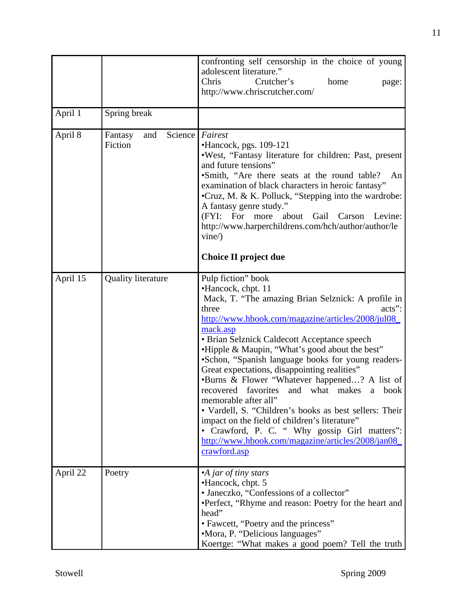|          |                                      | confronting self censorship in the choice of young<br>adolescent literature."<br>Chris<br>Crutcher's<br>home<br>page:<br>http://www.chriscrutcher.com/                                                                                                                                                                                                                                                                                                                                                                                                                                                                                                                                                                                                       |
|----------|--------------------------------------|--------------------------------------------------------------------------------------------------------------------------------------------------------------------------------------------------------------------------------------------------------------------------------------------------------------------------------------------------------------------------------------------------------------------------------------------------------------------------------------------------------------------------------------------------------------------------------------------------------------------------------------------------------------------------------------------------------------------------------------------------------------|
| April 1  | Spring break                         |                                                                                                                                                                                                                                                                                                                                                                                                                                                                                                                                                                                                                                                                                                                                                              |
| April 8  | Science<br>Fantasy<br>and<br>Fiction | Fairest<br>$\bullet$ Hancock, pgs. 109-121<br>. West, "Fantasy literature for children: Past, present<br>and future tensions"<br>•Smith, "Are there seats at the round table?<br>An<br>examination of black characters in heroic fantasy"<br>•Cruz, M. & K. Polluck, "Stepping into the wardrobe:<br>A fantasy genre study."<br>(FYI: For more about Gail Carson<br>Levine:<br>http://www.harperchildrens.com/hch/author/author/le<br>vine/<br>Choice II project due                                                                                                                                                                                                                                                                                         |
| April 15 | <b>Quality literature</b>            | Pulp fiction" book<br>•Hancock, chpt. 11<br>Mack, T. "The amazing Brian Selznick: A profile in<br>three<br>$acts$ :<br>http://www.hbook.com/magazine/articles/2008/jul08<br>mack.asp<br>• Brian Selznick Caldecott Acceptance speech<br>•Hipple & Maupin, "What's good about the best"<br>•Schon, "Spanish language books for young readers-<br>Great expectations, disappointing realities"<br>•Burns & Flower "Whatever happened? A list of<br>recovered favorites<br>and what makes<br>a<br>book<br>memorable after all"<br>• Vardell, S. "Children's books as best sellers: Their<br>impact on the field of children's literature"<br>• Crawford, P. C. " Why gossip Girl matters":<br>http://www.hbook.com/magazine/articles/2008/jan08<br>crawford.asp |
| April 22 | Poetry                               | •A jar of tiny stars<br>•Hancock, chpt. 5<br>• Janeczko, "Confessions of a collector"<br>•Perfect, "Rhyme and reason: Poetry for the heart and<br>head"<br>• Fawcett, "Poetry and the princess"<br>•Mora, P. "Delicious languages"<br>Koertge: "What makes a good poem? Tell the truth                                                                                                                                                                                                                                                                                                                                                                                                                                                                       |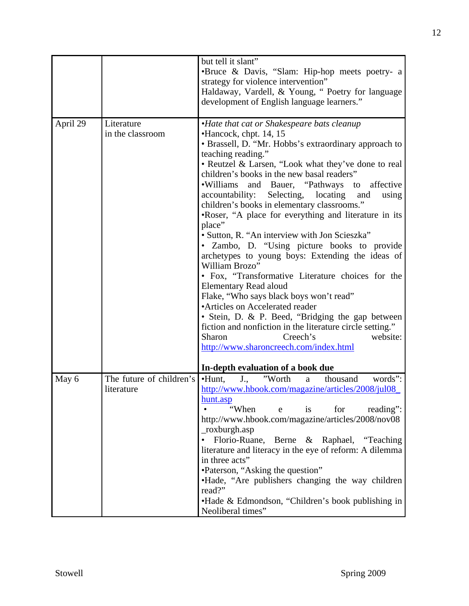|          |                                        | but tell it slant"<br>•Bruce & Davis, "Slam: Hip-hop meets poetry- a<br>strategy for violence intervention"<br>Haldaway, Vardell, & Young, "Poetry for language<br>development of English language learners."                                                                                                                                                                                                                                                                                                                                                                                                                                                                                                                                                                                                                                                                                                                                                                                                                |  |  |  |
|----------|----------------------------------------|------------------------------------------------------------------------------------------------------------------------------------------------------------------------------------------------------------------------------------------------------------------------------------------------------------------------------------------------------------------------------------------------------------------------------------------------------------------------------------------------------------------------------------------------------------------------------------------------------------------------------------------------------------------------------------------------------------------------------------------------------------------------------------------------------------------------------------------------------------------------------------------------------------------------------------------------------------------------------------------------------------------------------|--|--|--|
| April 29 | Literature<br>in the classroom         | •Hate that cat or Shakespeare bats cleanup<br>•Hancock, chpt. 14, 15<br>• Brassell, D. "Mr. Hobbs's extraordinary approach to<br>teaching reading."<br>• Reutzel & Larsen, "Look what they've done to real<br>children's books in the new basal readers"<br>.Williams and Bauer, "Pathways to affective<br>Selecting, locating and<br>accountability:<br>using<br>children's books in elementary classrooms."<br>•Roser, "A place for everything and literature in its<br>place"<br>• Sutton, R. "An interview with Jon Scieszka"<br>• Zambo, D. "Using picture books to provide<br>archetypes to young boys: Extending the ideas of<br>William Brozo"<br>• Fox, "Transformative Literature choices for the<br><b>Elementary Read aloud</b><br>Flake, "Who says black boys won't read"<br><b>Articles on Accelerated reader</b><br>• Stein, D. & P. Beed, "Bridging the gap between<br>fiction and nonfiction in the literature circle setting."<br>Sharon<br>Creech's<br>website:<br>http://www.sharoncreech.com/index.html |  |  |  |
|          |                                        | In-depth evaluation of a book due                                                                                                                                                                                                                                                                                                                                                                                                                                                                                                                                                                                                                                                                                                                                                                                                                                                                                                                                                                                            |  |  |  |
| May 6    | The future of children's<br>literature | $\cdot$ Hunt,<br>"Worth<br>thousand<br>words":<br>$J_{\cdot,\cdot}$<br>a<br>http://www.hbook.com/magazine/articles/2008/jul08<br><u>hunt.asp</u><br>"When<br>for<br>is<br>reading":<br>e<br>http://www.hbook.com/magazine/articles/2008/nov08<br>_roxburgh.asp<br>Florio-Ruane, Berne & Raphael, "Teaching<br>literature and literacy in the eye of reform: A dilemma<br>in three acts"<br>•Paterson, "Asking the question"<br>• Hade, "Are publishers changing the way children<br>read?"<br>• Hade & Edmondson, "Children's book publishing in<br>Neoliberal times"                                                                                                                                                                                                                                                                                                                                                                                                                                                        |  |  |  |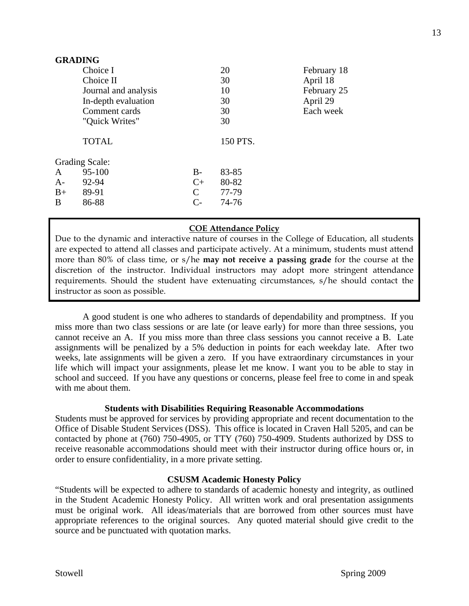| <b>GRADING</b>        |                      |                      |          |             |
|-----------------------|----------------------|----------------------|----------|-------------|
|                       | Choice I             |                      | 20       | February 18 |
|                       | Choice II            |                      | 30       | April 18    |
|                       | Journal and analysis |                      | 10       | February 25 |
|                       | In-depth evaluation  |                      | 30       | April 29    |
|                       | Comment cards        |                      | 30       | Each week   |
|                       | "Quick Writes"       |                      | 30       |             |
|                       | <b>TOTAL</b>         |                      | 150 PTS. |             |
| <b>Grading Scale:</b> |                      |                      |          |             |
| A                     | 95-100               | $B-$                 | 83-85    |             |
| $A-$                  | 92-94                | $C+$                 | 80-82    |             |
| $B+$                  | 89-91                | $\mathcal{C}$        | 77-79    |             |
| B                     | 86-88                | $\mathsf{C}\text{-}$ | 74-76    |             |

## **COE Attendance Policy**

Due to the dynamic and interactive nature of courses in the College of Education, all students are expected to attend all classes and participate actively. At a minimum, students must attend more than 80% of class time, or s/he **may not receive a passing grade** for the course at the discretion of the instructor. Individual instructors may adopt more stringent attendance requirements. Should the student have extenuating circumstances, s/he should contact the instructor as soon as possible.

A good student is one who adheres to standards of dependability and promptness. If you miss more than two class sessions or are late (or leave early) for more than three sessions, you cannot receive an A. If you miss more than three class sessions you cannot receive a B. Late assignments will be penalized by a 5% deduction in points for each weekday late. After two weeks, late assignments will be given a zero. If you have extraordinary circumstances in your life which will impact your assignments, please let me know. I want you to be able to stay in school and succeed. If you have any questions or concerns, please feel free to come in and speak with me about them.

### **Students with Disabilities Requiring Reasonable Accommodations**

Students must be approved for services by providing appropriate and recent documentation to the Office of Disable Student Services (DSS). This office is located in Craven Hall 5205, and can be contacted by phone at (760) 750-4905, or TTY (760) 750-4909. Students authorized by DSS to receive reasonable accommodations should meet with their instructor during office hours or, in order to ensure confidentiality, in a more private setting.

### **CSUSM Academic Honesty Policy**

"Students will be expected to adhere to standards of academic honesty and integrity, as outlined in the Student Academic Honesty Policy. All written work and oral presentation assignments must be original work. All ideas/materials that are borrowed from other sources must have appropriate references to the original sources. Any quoted material should give credit to the source and be punctuated with quotation marks.